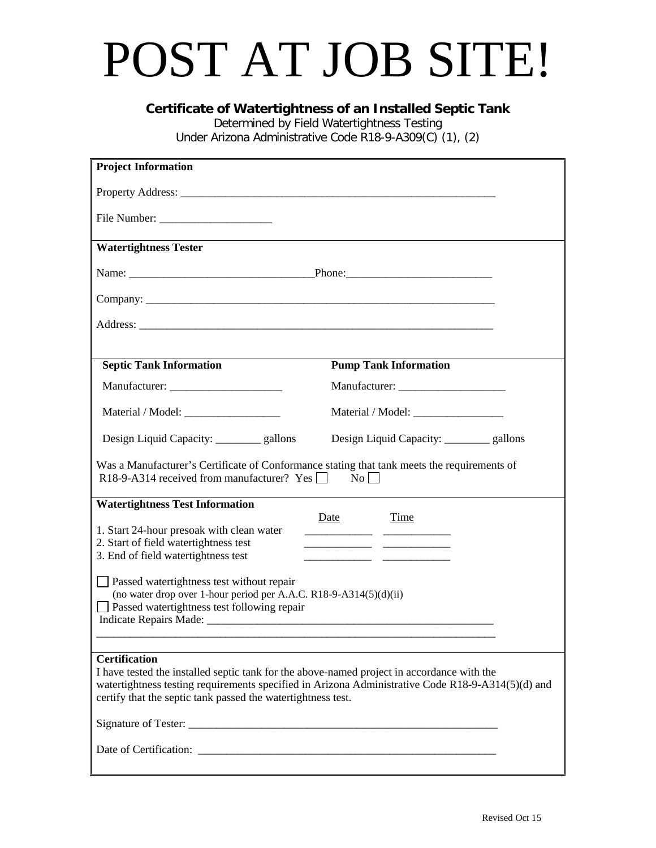## POST AT JOB SITE!

**Certificate of Watertightness of an Installed Septic Tank**

Determined by Field Watertightness Testing

Under Arizona Administrative Code R18-9-A309(C) (1), (2)

| <b>Project Information</b>                                                                                                                                                                                                                                                                                                                                                                                    |                                           |  |  |  |  |
|---------------------------------------------------------------------------------------------------------------------------------------------------------------------------------------------------------------------------------------------------------------------------------------------------------------------------------------------------------------------------------------------------------------|-------------------------------------------|--|--|--|--|
|                                                                                                                                                                                                                                                                                                                                                                                                               |                                           |  |  |  |  |
|                                                                                                                                                                                                                                                                                                                                                                                                               |                                           |  |  |  |  |
| <b>Watertightness Tester</b>                                                                                                                                                                                                                                                                                                                                                                                  |                                           |  |  |  |  |
|                                                                                                                                                                                                                                                                                                                                                                                                               |                                           |  |  |  |  |
|                                                                                                                                                                                                                                                                                                                                                                                                               |                                           |  |  |  |  |
| Address: <u>Address:</u> Address: Address: Address: Address: Address: Address: Address: Address: Address: Address: Address: Address: Address: Address: Address: Address: Address: Address: Address: Address: Address: Address: Addr                                                                                                                                                                           |                                           |  |  |  |  |
|                                                                                                                                                                                                                                                                                                                                                                                                               |                                           |  |  |  |  |
| <b>Septic Tank Information</b>                                                                                                                                                                                                                                                                                                                                                                                | <b>Pump Tank Information</b>              |  |  |  |  |
|                                                                                                                                                                                                                                                                                                                                                                                                               |                                           |  |  |  |  |
|                                                                                                                                                                                                                                                                                                                                                                                                               |                                           |  |  |  |  |
| Design Liquid Capacity: _________ gallons                                                                                                                                                                                                                                                                                                                                                                     | Design Liquid Capacity: _________ gallons |  |  |  |  |
| Was a Manufacturer's Certificate of Conformance stating that tank meets the requirements of<br>R18-9-A314 received from manufacturer? Yes<br>$\rm No$                                                                                                                                                                                                                                                         |                                           |  |  |  |  |
| <b>Watertightness Test Information</b>                                                                                                                                                                                                                                                                                                                                                                        |                                           |  |  |  |  |
| 1. Start 24-hour presoak with clean water<br>2. Start of field watertightness test<br>3. End of field watertightness test                                                                                                                                                                                                                                                                                     | Time<br>Date                              |  |  |  |  |
| <b>Passed watertightness test without repair</b><br>(no water drop over 1-hour period per A.A.C. R18-9-A314(5)(d)(ii)<br><b>Passed watertightness test following repair</b><br>Indicate Repairs Made: 1986. The Contract of the Contract of the Contract of the Contract of the Contract of the Contract of the Contract of the Contract of the Contract of the Contract of the Contract of the Contract of t |                                           |  |  |  |  |
|                                                                                                                                                                                                                                                                                                                                                                                                               |                                           |  |  |  |  |
| <b>Certification</b><br>I have tested the installed septic tank for the above-named project in accordance with the<br>watertightness testing requirements specified in Arizona Administrative Code R18-9-A314(5)(d) and<br>certify that the septic tank passed the watertightness test.                                                                                                                       |                                           |  |  |  |  |
|                                                                                                                                                                                                                                                                                                                                                                                                               |                                           |  |  |  |  |
|                                                                                                                                                                                                                                                                                                                                                                                                               |                                           |  |  |  |  |
|                                                                                                                                                                                                                                                                                                                                                                                                               |                                           |  |  |  |  |